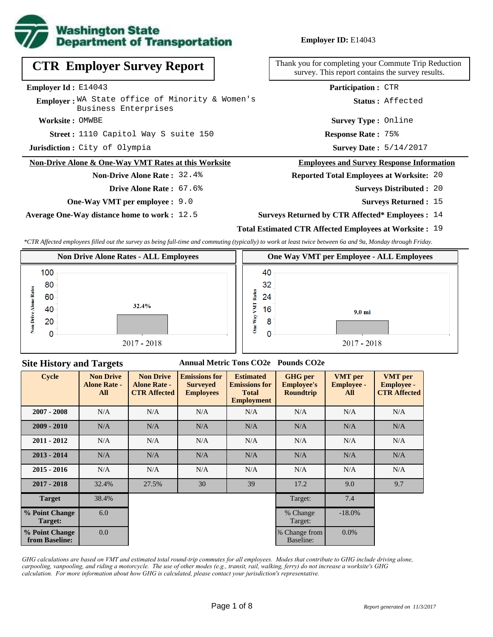

**Employer ID:** E14043

|  |  |  | <b>CTR Employer Survey Report</b> |  |  |
|--|--|--|-----------------------------------|--|--|
|--|--|--|-----------------------------------|--|--|

**Employer Id :** E14043

**Employer:** WA State office of Minority & Women's Business Enterprises

**Worksite :** OMWBE

1110 Capitol Way S suite 150 **Response Rate : Street :**

**Jurisdiction :** City of Olympia

#### **Non-Drive Alone & One-Way VMT Rates at this Worksite**

### **Non-Drive Alone Rate :** 32.4%

- **Drive Alone Rate :** 67.6%
- **One-Way VMT per employee :** 9.0

**Average One-Way distance home to work :** 12.5

Thank you for completing your Commute Trip Reduction survey. This report contains the survey results.

**Participation :** CTR

**Status :** Affected

**Survey Type :** Online

**Response Rate: 75%** 

Survey Date:  $5/14/2017$ 

#### **Employees and Survey Response Information**

**Reported Total Employees at Worksite:** 20

- Surveys Distributed : 20
	- **Surveys Returned :** 15
- **Surveys Returned by CTR Affected\* Employees :** 14

### **Total Estimated CTR Affected Employees at Worksite :** 19

*\*CTR Affected employees filled out the survey as being full-time and commuting (typically) to work at least twice between 6a and 9a, Monday through Friday.*



#### **Site History and Targets**

### **Annual Metric Tons CO2e Pounds CO2e**

| <b>Cycle</b>                     | <b>Non Drive</b><br><b>Alone Rate -</b><br>All | <b>Non Drive</b><br><b>Alone Rate -</b><br><b>CTR Affected</b> | <b>Emissions for</b><br><b>Surveyed</b><br><b>Employees</b> | <b>Estimated</b><br><b>Emissions for</b><br><b>Total</b><br><b>Employment</b> | <b>GHG</b> per<br><b>Employee's</b><br><b>Roundtrip</b> | <b>VMT</b> per<br><b>Employee -</b><br>All | <b>VMT</b> per<br><b>Employee -</b><br><b>CTR Affected</b> |
|----------------------------------|------------------------------------------------|----------------------------------------------------------------|-------------------------------------------------------------|-------------------------------------------------------------------------------|---------------------------------------------------------|--------------------------------------------|------------------------------------------------------------|
| $2007 - 2008$                    | N/A                                            | N/A                                                            | N/A<br>N/A                                                  |                                                                               | N/A                                                     | N/A                                        | N/A                                                        |
| $2009 - 2010$                    | N/A                                            | N/A                                                            | N/A<br>N/A                                                  |                                                                               | N/A                                                     | N/A                                        | N/A                                                        |
| $2011 - 2012$                    | N/A                                            | N/A                                                            | N/A                                                         | N/A                                                                           | N/A                                                     | N/A                                        | N/A                                                        |
| $2013 - 2014$                    | N/A                                            | N/A                                                            | N/A                                                         | N/A                                                                           | N/A                                                     | N/A                                        | N/A                                                        |
| $2015 - 2016$                    | N/A                                            | N/A                                                            | N/A                                                         | N/A                                                                           | N/A                                                     | N/A                                        | N/A                                                        |
| $2017 - 2018$                    | 32.4%                                          | 27.5%                                                          | 30                                                          | 39                                                                            | 17.2                                                    | 9.0                                        | 9.7                                                        |
| <b>Target</b>                    | 38.4%                                          |                                                                |                                                             |                                                                               | Target:                                                 | 7.4                                        |                                                            |
| % Point Change<br>Target:        | 6.0                                            |                                                                |                                                             |                                                                               | % Change<br>Target:                                     | $-18.0\%$                                  |                                                            |
| % Point Change<br>from Baseline: | 0.0                                            |                                                                |                                                             |                                                                               | % Change from<br>Baseline:                              | $0.0\%$                                    |                                                            |

*GHG calculations are based on VMT and estimated total round-trip commutes for all employees. Modes that contribute to GHG include driving alone, carpooling, vanpooling, and riding a motorcycle. The use of other modes (e.g., transit, rail, walking, ferry) do not increase a worksite's GHG calculation. For more information about how GHG is calculated, please contact your jurisdiction's representative.*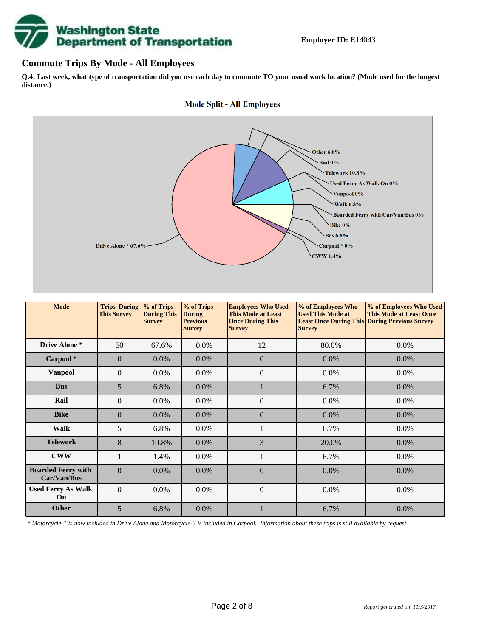

## **Commute Trips By Mode - All Employees**

**Q.4: Last week, what type of transportation did you use each day to commute TO your usual work location? (Mode used for the longest distance.)**



*\* Motorcycle-1 is now included in Drive Alone and Motorcycle-2 is included in Carpool. Information about these trips is still available by request.*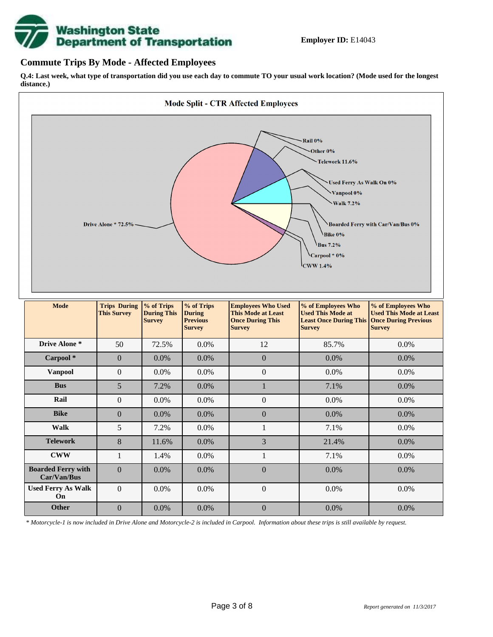

## **Commute Trips By Mode - Affected Employees**

**Q.4: Last week, what type of transportation did you use each day to commute TO your usual work location? (Mode used for the longest distance.)**



*\* Motorcycle-1 is now included in Drive Alone and Motorcycle-2 is included in Carpool. Information about these trips is still available by request.*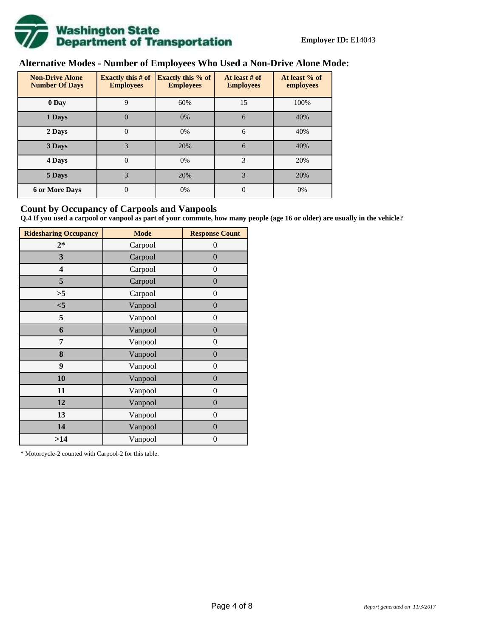

# **Alternative Modes - Number of Employees Who Used a Non-Drive Alone Mode:**

| <b>Non-Drive Alone</b><br><b>Number Of Days</b> | Exactly this $#$ of<br><b>Employees</b> | <b>Exactly this % of</b><br><b>Employees</b> | At least # of<br><b>Employees</b> | At least % of<br>employees |
|-------------------------------------------------|-----------------------------------------|----------------------------------------------|-----------------------------------|----------------------------|
| 0 Day                                           | 9                                       | 60%                                          | 15                                | 100%                       |
| 1 Days                                          | $\overline{0}$                          | 0%                                           | 6                                 | 40%                        |
| 2 Days                                          | $\overline{0}$                          | 0%                                           | 6                                 | 40%                        |
| 3 Days                                          | 3                                       | 20%                                          | 6                                 | 40%                        |
| 4 Days                                          | $\Omega$                                | 0%                                           | 3                                 | 20%                        |
| 5 Days                                          | 3                                       | 20%                                          | 3                                 | 20%                        |
| <b>6 or More Days</b>                           | $\theta$                                | 0%                                           | $\Omega$                          | 0%                         |

## **Count by Occupancy of Carpools and Vanpools**

**Q.4 If you used a carpool or vanpool as part of your commute, how many people (age 16 or older) are usually in the vehicle?**

| <b>Ridesharing Occupancy</b> | <b>Mode</b> | <b>Response Count</b> |
|------------------------------|-------------|-----------------------|
| $2*$                         | Carpool     | 0                     |
| 3                            | Carpool     | $\overline{0}$        |
| 4                            | Carpool     | $\boldsymbol{0}$      |
| 5                            | Carpool     | $\boldsymbol{0}$      |
| >5                           | Carpool     | $\overline{0}$        |
| $<$ 5                        | Vanpool     | $\overline{0}$        |
| 5                            | Vanpool     | $\overline{0}$        |
| 6                            | Vanpool     | $\boldsymbol{0}$      |
| 7                            | Vanpool     | $\overline{0}$        |
| 8                            | Vanpool     | $\boldsymbol{0}$      |
| 9                            | Vanpool     | $\overline{0}$        |
| 10                           | Vanpool     | $\overline{0}$        |
| 11                           | Vanpool     | $\boldsymbol{0}$      |
| 12                           | Vanpool     | $\boldsymbol{0}$      |
| 13                           | Vanpool     | $\boldsymbol{0}$      |
| 14                           | Vanpool     | $\overline{0}$        |
| >14                          | Vanpool     | $\boldsymbol{0}$      |

\* Motorcycle-2 counted with Carpool-2 for this table.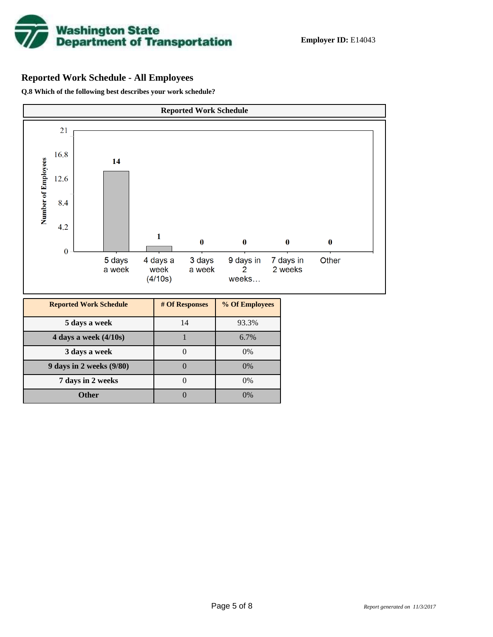

# **Reported Work Schedule - All Employees**

**Q.8 Which of the following best describes your work schedule?**

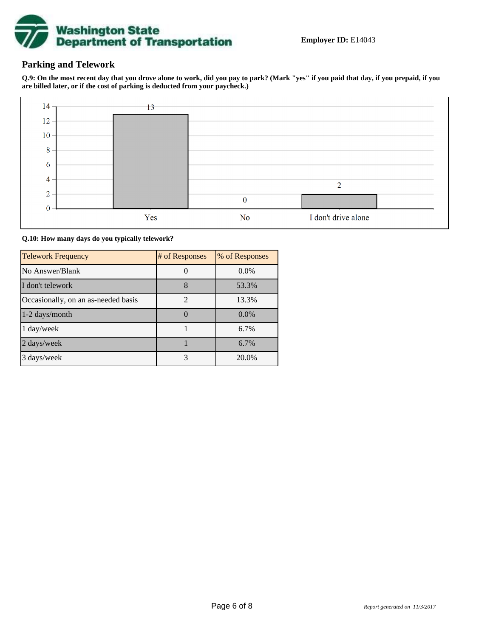

## **Parking and Telework**

**Q.9: On the most recent day that you drove alone to work, did you pay to park? (Mark "yes" if you paid that day, if you prepaid, if you are billed later, or if the cost of parking is deducted from your paycheck.)**



**Q.10: How many days do you typically telework?**

| <b>Telework Frequency</b>           | # of Responses | % of Responses |
|-------------------------------------|----------------|----------------|
| No Answer/Blank                     |                | $0.0\%$        |
| I don't telework                    | 8              | 53.3%          |
| Occasionally, on an as-needed basis | $\mathfrak{D}$ | 13.3%          |
| 1-2 days/month                      |                | $0.0\%$        |
| 1 day/week                          |                | 6.7%           |
| 2 days/week                         |                | 6.7%           |
| 3 days/week                         | 3              | 20.0%          |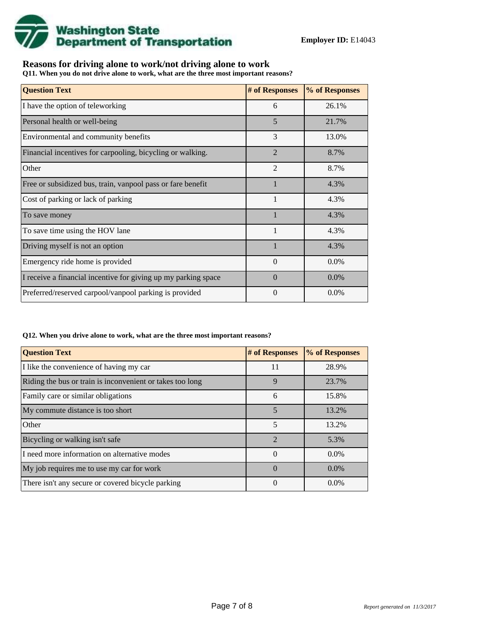

# **Reasons for driving alone to work/not driving alone to work**

**Q11. When you do not drive alone to work, what are the three most important reasons?**

| <b>Question Text</b>                                           | # of Responses | % of Responses |
|----------------------------------------------------------------|----------------|----------------|
| I have the option of teleworking                               | 6              | 26.1%          |
| Personal health or well-being                                  | 5              | 21.7%          |
| Environmental and community benefits                           | 3              | 13.0%          |
| Financial incentives for carpooling, bicycling or walking.     | $\overline{2}$ | 8.7%           |
| Other                                                          | $\mathfrak{D}$ | 8.7%           |
| Free or subsidized bus, train, vanpool pass or fare benefit    |                | 4.3%           |
| Cost of parking or lack of parking                             | 1              | 4.3%           |
| To save money                                                  |                | 4.3%           |
| To save time using the HOV lane                                | $\mathbf{1}$   | 4.3%           |
| Driving myself is not an option                                |                | 4.3%           |
| Emergency ride home is provided                                | $\Omega$       | $0.0\%$        |
| I receive a financial incentive for giving up my parking space | $\Omega$       | $0.0\%$        |
| Preferred/reserved carpool/vanpool parking is provided         | $\Omega$       | $0.0\%$        |

#### **Q12. When you drive alone to work, what are the three most important reasons?**

| <b>Question Text</b>                                      | # of Responses | % of Responses |
|-----------------------------------------------------------|----------------|----------------|
| I like the convenience of having my car                   | 11             | 28.9%          |
| Riding the bus or train is inconvenient or takes too long | 9              | 23.7%          |
| Family care or similar obligations                        | 6              | 15.8%          |
| My commute distance is too short                          | 5              | 13.2%          |
| Other                                                     | 5              | 13.2%          |
| Bicycling or walking isn't safe                           | $\mathfrak{D}$ | 5.3%           |
| I need more information on alternative modes              | $\Omega$       | $0.0\%$        |
| My job requires me to use my car for work                 | $\Omega$       | $0.0\%$        |
| There isn't any secure or covered bicycle parking         | 0              | $0.0\%$        |